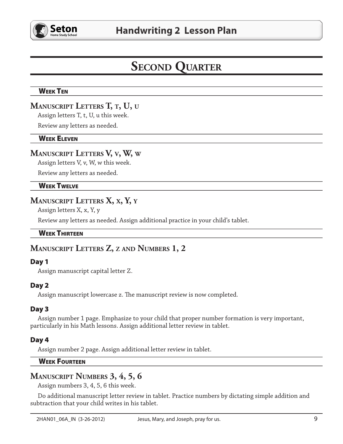

# **SECOND QUARTER**

## **WEEK TEN**

# MANUSCRIPT LETTERS T, T, U, U

Assign letters T, t, U, u this week.

Review any letters as needed.

#### **WEEK ELEVEN**

# **MANUSCRIPT LETTERS V, v, W, w**

Assign letters V, v, W, w this week.

Review any letters as needed.

## **WEEK TWELVE**

# MANUSCRIPT LETTERS X, x, Y, Y

Assign letters X, x, Y, y

Review any letters as needed. Assign additional practice in your child's tablet.

#### **WEEK THIRTEEN**

# MANUSCRIPT LETTERS Z, Z AND NUMBERS 1, 2

#### Day 1

Assign manuscript capital letter Z.

#### Day 2

Assign manuscript lowercase z. The manuscript review is now completed.

#### Day 3

Assign number 1 page. Emphasize to your child that proper number formation is very important, particularly in his Math lessons. Assign additional letter review in tablet.

#### Day 4

Assign number 2 page. Assign additional letter review in tablet.

#### **WEEK FOURTEEN**

# **MANUSCRIPT NUMBERS 3, 4, 5, 6**

Assign numbers 3, 4, 5, 6 this week.

Do additional manuscript letter review in tablet. Practice numbers by dictating simple addition and subtraction that your child writes in his tablet.